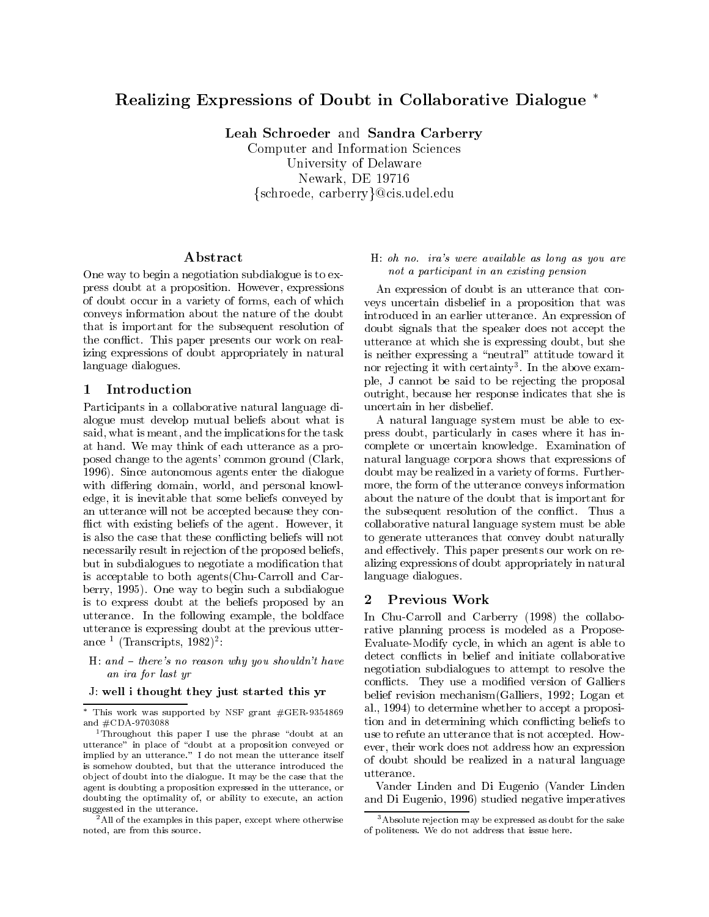# Realizing Expressions of Doubt in Collaborative Dialogue

Leah Schroeder and Sandra Carberry

Computer and Information Sciences University of Delaware Newark, DE <sup>19716</sup> {schroede, carberry}@cis.udel.edu

## A bstract

One way to begin a negotiation subdialogue is to express doubt at a proposition. However, expressions of doubt occur in a variety of forms, each of which conveys information about the nature of the doubt that is important for the subsequent resolution of the con
ict. This paper presents our work on realizing expressions of doubt appropriately in natural language dialogues.

Participants in a collaborative natural language dialogue must develop mutual beliefs about what is said, what is meant, and the implications for the task at hand. We may think of each utterance as a proposed change to the agents' common ground (Clark, 1996). Since autonomous agents enter the dialogue with differing domain, world, and personal knowledge, it is inevitable that some beliefs conveyed by an utterance will not be accepted because they con flict with existing beliefs of the agent. However, it is also the case that these con
icting beliefs will not necessarily result in rejection of the proposed beliefs, but in subdialogues to negotiate a modication that is acceptable to both agents(Chu-Carroll and Carberry, 1995). One way to begin such a subdialogue<br>is to express doubt at the beliefs proposed by an  $\overline{2}$ is to express doubt at the beliefs proposed by an utterance. In the following example, the boldface utterance is expressing doubt at the previous utterance - (Transcripts, 1982)<sup>-</sup>:

H: and  $-$  there's no reason why you shouldn't have an ira for last yr

#### J: well i thought they just started this yr

### H: oh no. ira's were available as long as you are not a participant in an existing pension

An expression of doubt is an utterance that con veys uncertain disbelief in a proposition that was introduced in an earlier utterance. An expression of doubt signals that the speaker does not accept the utterance at which she is expressing doubt, but she is neither expressing a "neutral" attitude toward it nor rejecting it with certainty". In the above example, J cannot be said to be rejecting the proposal outright, because her response indicates that she is uncertain in her disbelief.

A natural language system must be able to express doubt, particularly in cases where it has incomplete or uncertain knowledge. Examination of natural language corpora shows that expressions of doubt may be realized in a variety of forms. Furthermore, the form of the utterance conveys information about the nature of the doubt that is important for the subsequent resolution of the con
ict. Thus a collaborative natural language system must be able to generate utterances that convey doubt naturally and effectively. This paper presents our work on realizing expressions of doubt appropriately in natural language dialogues.

## Previous Work

In Chu-Carroll and Carberry (1998) the collaborative planning process is modeled as a Propose-Evaluate-Modify cycle, in which an agent is able to detect conflicts in belief and initiate collaborative negotiation subdialogues to attempt to resolve the conflicts. They use a modified version of Galliers belief revision mechanism(Galliers, 1992; Logan et al., 1994) to determine whether to accept a proposition and in determining which con
icting beliefs to use to refute an utterance that is not accepted. How ever, their work does not address how an expression of doubt should be realized in a natural language

Vander Linden and Di Eugenio (Vander Linden and Di Eugenio, 1996) studied negative imperatives

This work was supported by NSF grant  $\#\text{GER-9354809}$  =  $-1$ and #CDA-9703088

<sup>&</sup>lt;sup>1</sup>Throughout this paper I use the phrase "doubt at an utterance" in place of "doubt at a proposition conveyed or implied by an utterance." I do not mean the utterance itself is somehow doubted, but that the utterance introduced the  $\frac{64 \text{ m/s}}{100 \text{ m/s}}$ ob ject of doubt into the dialogue. It may be the case that the agent is doubting a proposition expressed in the utterance, or doubting the optimality of, or ability to execute, an action suggested in the utterance.

 $^{2}$  All of the examples in this paper, except where otherwise noted, are from this source.

<sup>3</sup>Absolute rejection may be expressed as doubt for the sake of politeness. We do not address that issue here.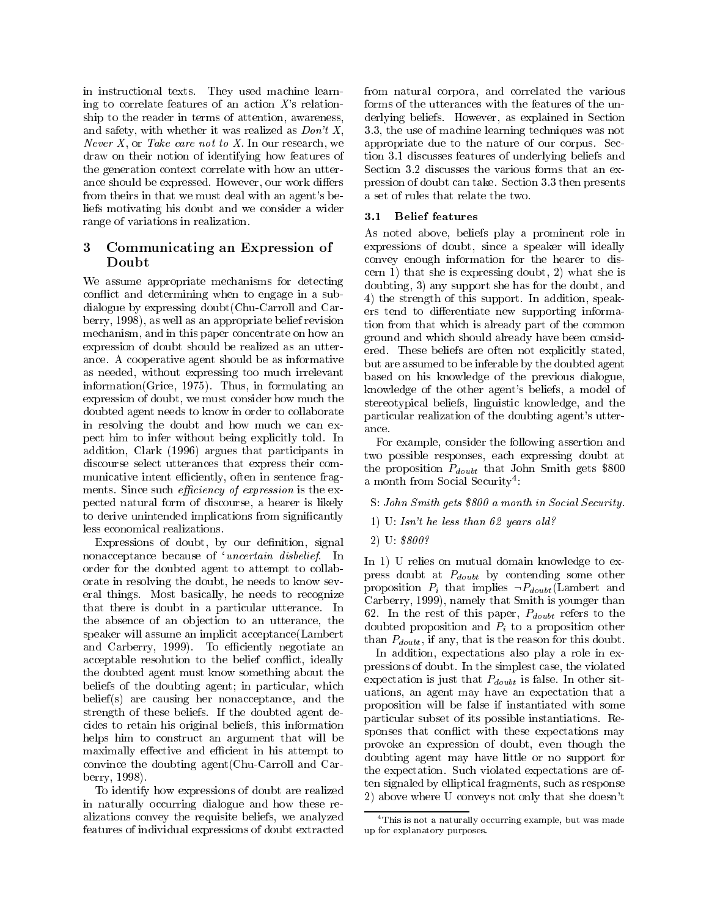in instructional texts. They used machine learning to correlate features of an action  $X$ 's relationship to the reader in terms of attention, awareness, and safety, with whether it was realized as  $Don't X$ , *Never X*, or *Take care not to X*. In our research, we draw on their notion of identifying how features of the generation context correlate with how an utterance should be expressed. However, our work differs from theirs in that we must deal with an agent's beliefs motivating his doubt and we consider a wider  $\overline{3.1}$ range of variations in realization.

#### 3 3 Communicating an Expression of Doubt

We assume appropriate mechanisms for detecting con
ict and determining when to engage in a subdialogue by expressing doubt(Chu-Carroll and Carberry, 1998), as well as an appropriate belief revision mechanism, and in this paper concentrate on how an mechanism, and in this paper concentrate on how an expression of doubt should be realized as an utterance. A cooperative agent should be as informative as needed, without expressing too much irrelevant information(Grice, 1975). Thus, in formulating an expression of doubt, we must consider how much the doubted agent needs to know in order to collaborate in resolving the doubt and how much we can ex- $\frac{1}{2}$  ance. pect him to infer without being explicitly told. In addition, Clark (1996) argues that participants in discourse select utterances that express their com municative intent efficiently, often in sentence fragments. Since such *efficiency of expression* is the expected natural form of discourse, a hearer is likely to derive unintended implications from signicantly less economical realizations.

Expressions of doubt, by our definition, signal nonacceptance because of 'uncertain disbelief. In order for the doubted agent to attempt to collaborate in resolving the doubt, he needs to know several things. Most basically, he needs to recognize that there is doubt in a particular utterance. In the absence of an objection to an utterance, the speaker will assume an implicit acceptance(Lambert and Carberry, 1999). To efficiently negotiate an acceptable resolution to the belief conflict, ideally the doubted agent must know something about the beliefs of the doubting agent; in particular, which belief(s) are causing her nonacceptance, and the strength of these beliefs. If the doubted agent decides to retain his original beliefs, this information helps him to construct an argument that will be maximally effective and efficient in his attempt to convince the doubting agent(Chu-Carroll and Carberry, 1998).

To identify how expressions of doubt are realized in naturally occurring dialogue and how these realizations convey the requisite beliefs, we analyzed features of individual expressions of doubt extracted from natural corpora, and correlated the various forms of the utterances with the features of the underlying beliefs. However, as explained in Section 3.3, the use of machine learning techniques was not appropriate due to the nature of our corpus. Section 3.1 discusses features of underlying beliefs and Section 3.2 discusses the various forms that an expression of doubt can take. Section 3.3 then presents a set of rules that relate the two.

### 3.1 Belief features

As noted above, beliefs play a prominent role in expressions of doubt, since a speaker will ideally convey enough information for the hearer to discern 1) that she is expressing doubt, 2) what she is doubting, 3) any support she has for the doubt, and 4) the strength of this support. In addition, speakers tend to differentiate new supporting information from that which is already part of the common ground and which should already have been considered. These beliefs are often not explicitly stated, but are assumed to be inferable by the doubted agent based on his knowledge of the previous dialogue, knowledge of the other agent's beliefs, a model of stereotypical beliefs, linguistic knowledge, and the particular realization of the doubting agent's utter-

For example, consider the following assertion and two possible responses, each expressing doubt at the proposition  $P_{double}$  that John Smith gets \$800 a month from Social Security :

S: John Smith gets \$800 a month in Social Security.

- 1) U: Isn't he less than 62 years old?
- 2) U: \$800?

In 1) U relies on mutual domain knowledge to express doubt at  $P_{double}$  by contending some other proposition  $P_i$  that implies  $\neg P_{doubt}$  (Lambert and Carberry, 1999), namely that Smith is younger than 62. In the rest of this paper,  $P_{double}$  refers to the doubted proposition and  $P_i$  to a proposition other than  $P_{doubt}$ , if any, that is the reason for this doubt.

In addition, expectations also play a role in expressions of doubt. In the simplest case, the violated expectation is just that  $P_{double}$  is false. In other situations, an agent may have an expectation that a proposition will be false if instantiated with some particular subset of its possible instantiations. Responses that conflict with these expectations may provoke an expression of doubt, even though the doubting agent may have little or no support for the expectation. Such violated expectations are often signaled by elliptical fragments, such as response 2) above where U conveys not only that she doesn't

<sup>4</sup>This is not a naturally occurring example, but was made up for explanatory purposes.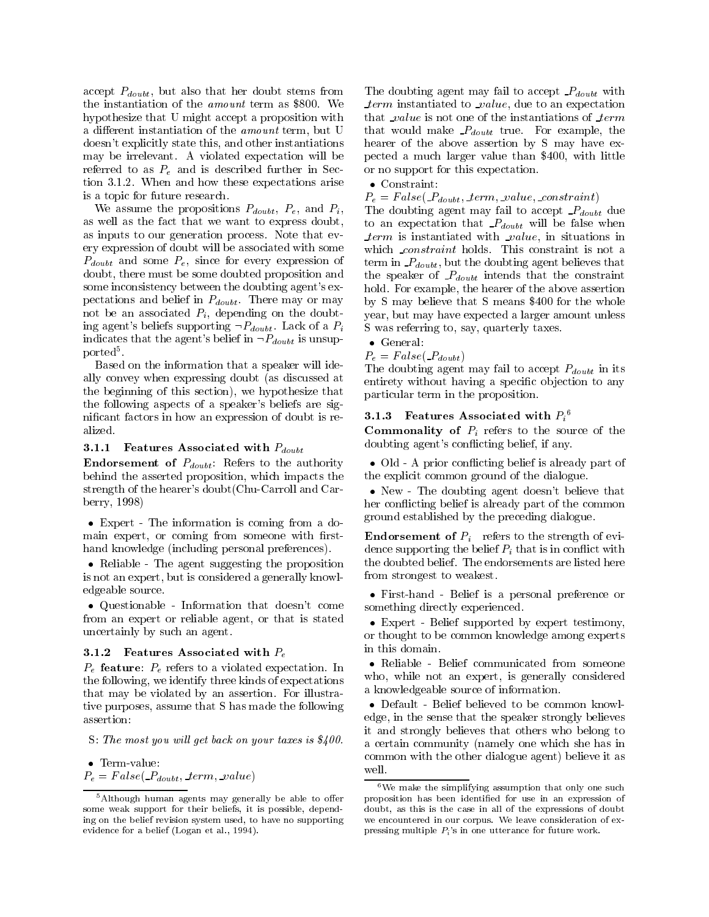accept  $P_{double}$ , but also that her doubt stems from the instantiation of the *amount* term as \$800. We hypothesize that U might accept a proposition with a different instantiation of the *amount* term, but U doesn't explicitly state this, and other instantiations may be irrelevant. A violated expectation will be referred to as  $P_e$  and is described further in Section 3.1.2. When and how these expectations arise is a topic for future research.

We assume the propositions  $P_{double}$ ,  $P_e$ , and  $P_i$ , as well as the fact that we want to express doubt, as inputs to our generation process. Note that every expression of doubt will be associated with some  $P_{double}$  and some  $P_e$ , since for every expression of doubt, there must be some doubted proposition and some inconsistency between the doubting agent's expectations and belief in  $P_{double}$ . There may or may not be an associated  $P_i$ , depending on the doubting agent's beliefs supporting  $\neg P_{doubt}$ . Lack of a  $P_i$ indicates that the agent's belief in  $\neg P_{double}$  is unsupported<sup>5</sup>.

Based on the information that a speaker will ideally convey when expressing doubt (as discussed at the beginning of this section), we hypothesize that the following aspects of a speaker's beliefs are signicant factors in how an expression of doubt is realized.

#### 3.1.1 Features Associated with  $P_{double}$

**Endorsement of**  $P_{double}$ : Refers to the authority behind the asserted proposition, which impacts the strength of the hearer's doubt(Chu-Carroll and Carberry, 1998)

• Expert - The information is coming from a domain expert, or coming from someone with firsthand knowledge (including personal preferences).

 Reliable - The agent suggesting the proposition is not an expert, but is considered a generally knowledgeable source.

 Questionable -Information that doesn't come from an expert or reliable agent, or that is stated uncertainly by such an agent.

#### 3.1.2 Features Associated with  $P_e$

 $P_e$  feature:  $P_e$  refers to a violated expectation. In the following, we identify three kinds of expectations that may be violated by an assertion. For illustrative purposes, assume that S has made the following assertion:

S: The most you will get back on your taxes is  $\$400.$ 

Term-value:

 $P_e = False(P_{double}, \text{term}, \text{value})$ 

The doubting agent may fail to accept  $P_{double}$  with  $term$  instantiated to  $_value$ , due to an expectation that  $_value$  is not one of the instantiations of  $-term$ that would make  $P_{double}$  true. For example, the hearer of the above assertion by S may have expected a much larger value than \$400, with little or no support for this expectation.

### Constraint:

 $P_e = False(P_{double}, term, value, constant)$ 

The doubting agent may fail to accept  $P_{double}$  due to an expectation that  $P_{double}$  will be false when  $term$  is instantiated with  $_value$ , in situations in which *constraint* holds. This constraint is not a term in  $P_{double}$ , but the doubting agent believes that the speaker of  $P_{double}$  intends that the constraint hold. For example, the hearer of the above assertion by S may believe that S means \$400 for the whole year, but may have expected a larger amount unless S was referring to, say, quarterly taxes.

• General: 
$$
\overline{}
$$

 $P_e = False(P_{double})$ 

The doubting agent may fail to accept  $P_{double}$  in its entirety without having a specific objection to any particular term in the proposition.

#### 5.1.5 Features Associated with  $P_i$

**Commonality of**  $P_i$  refers to the source of the doubting agent's con
icting belief, if any.

• Old - A prior conflicting belief is already part of the explicit common ground of the dialogue.

 New - The doubting agent doesn't believe that her con
icting belief is already part of the common ground established by the preceding dialogue.

**Endorsement of**  $P_i$  refers to the strength of evidence supporting the belief  $P_i$  that is in conflict with the doubted belief. The endorsements are listed here from strongest to weakest.

 First-hand - Belief is a personal preference or something directly experienced.

 Expert - Belief supported by expert testimony, or thought to be common knowledge among experts in this domain.

 Reliable - Belief communicated from someone who, while not an expert, is generally considered a knowledgeable source of information.

 Default - Belief believed to be common knowledge, in the sense that the speaker strongly believes it and strongly believes that others who belong to a certain community (namely one which she has in common with the other dialogue agent) believe it as well.

 $5$ Although human agents may generally be able to offer some weak support for their beliefs, it is possible, depending on the belief revision system used, to have no supporting evidence for a belief (Logan et al., 1994).

 $6$ We make the simplifying assumption that only one such proposition has been identied for use in an expression of doubt, as this is the case in all of the expressions of doubt we encountered in our corpus. We leave consideration of expressing multiple  $P_i$ 's in one utterance for future work.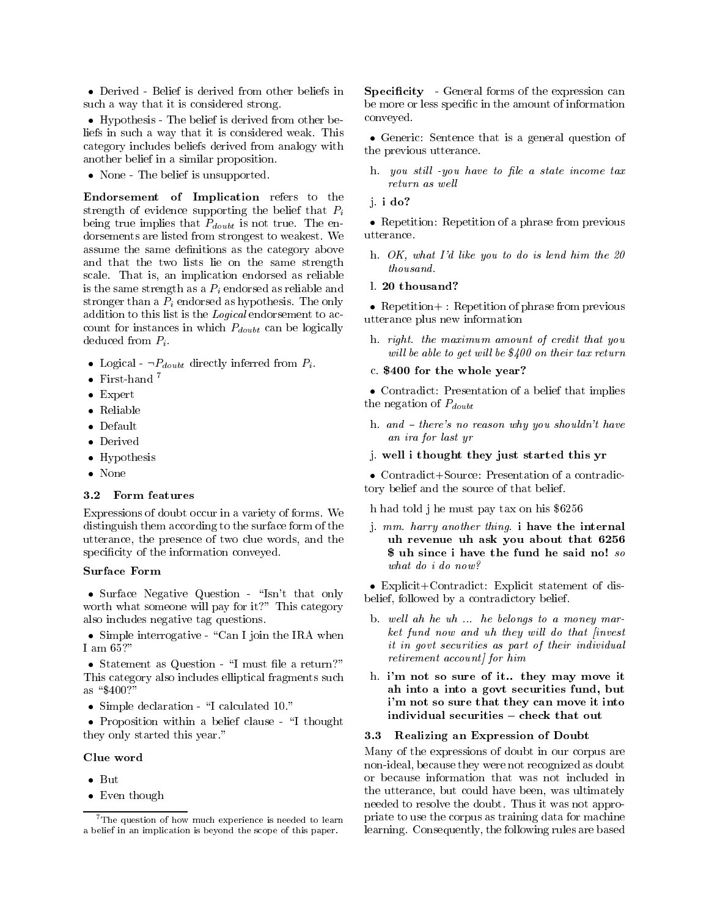Derived - Belief is derived from other beliefs in such a way that it is considered strong.

 Hypothesis - The belief is derived from other beliefs in such a way that it is considered weak. This category includes beliefs derived from analogy with another belief in a similar proposition.

• None - The belief is unsupported.

Endorsement of Implication refers to the strength of evidence supporting the belief that  $P_i$ being true implies that  $P_{double}$  is not true. The endorsements are listed from strongest to weakest. We assume the same definitions as the category above and that the two lists lie on the same strength scale. That is, an implication endorsed as reliable is the same strength as a  $P_i$  endorsed as reliable and stronger than a  $P_i$  endorsed as hypothesis. The only addition to this list is the Logical endorsement to account for instances in which  $P_{double}$  can be logically deduced from  $P_i$ .

- Logical  $\neg P_{doubt}$  directly inferred from  $P_i$ .
- $\bullet~$  First-hand  $^7$
- Expert
- Reliable
- 
- Derived
- Hypothesis
- None

#### Form features  $3.2$

Expressions of doubt occur in a variety of forms. We distinguish them according to the surface form of the utterance, the presence of two clue words, and the specificity of the information conveyed.

### Surface Form

• Surface Negative Question - "Isn't that only worth what someone will pay for it?" This category also includes negative tag questions.

 $\bullet$  Simple interrogative - "Can I join the IRA when I am  $65$ ?"

• Statement as Question - "I must file a return?" This category also includes elliptical fragments such as "\$400?"  $\overline{a}$  . The  $\overline{a}$   $\overline{a}$  and  $\overline{a}$  and  $\overline{a}$  and  $\overline{a}$  and  $\overline{a}$  and  $\overline{a}$  and  $\overline{a}$  and  $\overline{a}$  and  $\overline{a}$  and  $\overline{a}$  and  $\overline{a}$  and  $\overline{a}$  and  $\overline{a}$  and  $\overline{a}$  and  $\overline{a}$  and  $\$ 

• Simple declaration - "I calculated 10."

• Proposition within a belief clause - "I thought they only started this year."

#### Clue word

- $\bullet$  But
- Even though

**Specificity** - General forms of the expression can be more or less specific in the amount of information conveyed.

 Generic: Sentence that is a general question of the previous utterance.

- h. you still -you have to file a state income tax return as well
- j. i do?

• Repetition: Repetition of a phrase from previous

- h.  $OK$ , what I'd like you to do is lend him the  $20$ thousand.
- l. 20 thousand?

 Repetition+ : Repetition of phrase from previous utterance plus new information

- h. right. the maximum amount of credit that you will be able to get will be  $$400$  on their tax return
- c. \$400 for the whole year?

 Contradict: Presentation of a belief that implies the negation of  $P_{double}$ 

- h. and  $H$  there's no reason why you shouldn't have an ira for last yr
- j. well i thought they just started this yr

 Contradict+Source: Presentation of a contradictory belief and the source of that belief.

h had told j he must pay tax on his \$6256

j. mm. harry another thing. i have the internal uh revenue uh ask you about that 6256 \$ uh since i have the fund he said no! so what do i do now?

 Explicit+Contradict: Explicit statement of disbelief, followed by a contradictory belief.

- b. well ah he uh  $\ldots$  he belongs to a money market fund now and uh they will do that *finvest* it in govt securities as part of their individual retirement account/ for him
- h. i'm not so sure of it.. they may move it ah into a into a govt securities fund, but i'm not so sure that they can move it into

#### 3.3 Realizing an Expression of Doubt

Many of the expressions of doubt in our corpus are non-ideal, because they were not recognized as doubt or because information that was not included in the utterance, but could have been, was ultimately needed to resolve the doubt. Thus it was not appropriate to use the corpus as training data for machine learning. Consequently, the following rules are based

<sup>&</sup>lt;sup>7</sup>The question of how much experience is needed to learn a belief in an implication is beyond the scope of this paper.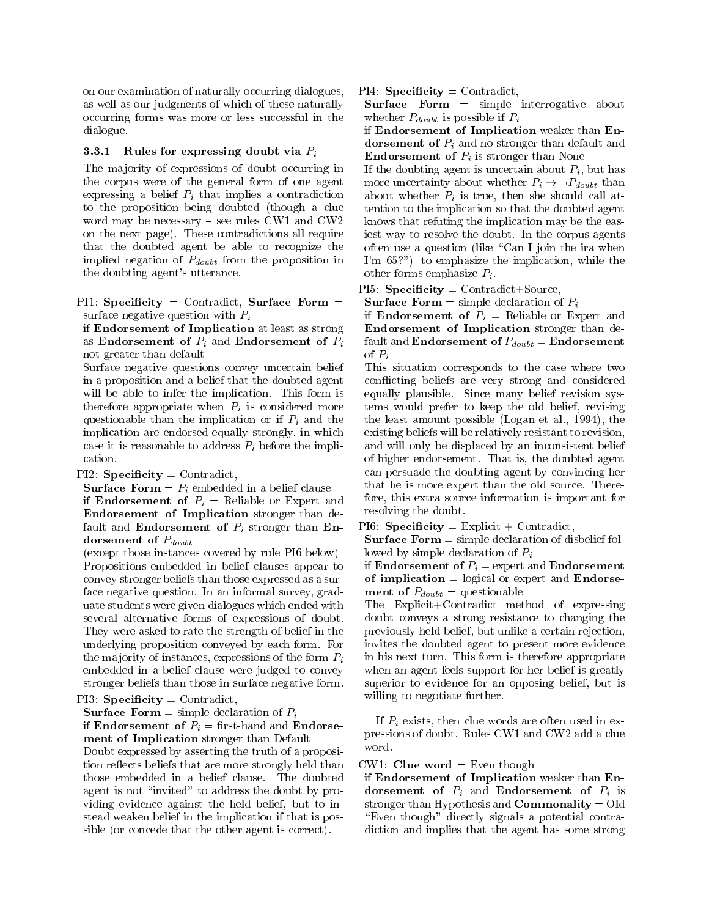on our examination of naturally occurring dialogues, as well as our judgments of which of these naturally occurring forms was more or less successful in the dialogue.

#### 3.3.1 Rules for expressing doubt via  $P_i$

The majority of expressions of doubt occurring in the corpus were of the general form of one agent expressing a belief  $P_i$  that implies a contradiction to the proposition being doubted (though a clue word may be necessary  $-$  see rules CW1 and CW2 on the next page). These contradictions all require that the doubted agent be able to recognize the implied negation of  $P_{double}$  from the proposition in the doubting agent's utterance.

PI1: Specificity = Contradict, Surface Form = surface negative question with  $P_i$ 

if Endorsement of Implication at least as strong as Endorsement of  $P_i$  and Endorsement of  $P_i$ not greater than default

Surface negative questions convey uncertain belief in a proposition and a belief that the doubted agent will be able to infer the implication. This form is therefore appropriate when  $P_i$  is considered more questionable than the implication or if  $P_i$  and the implication are endorsed equally strongly, in which case it is reasonable to address  $P_i$  before the implication.

 $PI2:$  Specificity = Contradict,

**Surface Form** =  $P_i$  embedded in a belief clause if **Endorsement of**  $P_i$  = Reliable or Expert and Endorsement of Implication stronger than default and **Endorsement of**  $P_i$  stronger than **En**dorsement of  $P_{double}$ 

(except those instances covered by rule PI6 below) Propositions embedded in belief clauses appear to convey stronger beliefs than those expressed as a surface negative question. In an informal survey, graduate students were given dialogues which ended with several alternative forms of expressions of doubt. They were asked to rate the strength of belief in the underlying proposition conveyed by each form. For the majority of instances, expressions of the form  $P_i$ embedded in a belief clause were judged to convey stronger beliefs than those in surface negative form.

#### PI3: Specificity = Contradict,

**Surface Form** = simple declaration of  $P_i$ 

if **Endorsement of**  $P_i$  = first-hand and **Endorse**ment of Implication stronger than Default

Doubt expressed by asserting the truth of a proposition reflects beliefs that are more strongly held than those embedded in a belief clause. The doubted agent is not "invited" to address the doubt by providing evidence against the held belief, but to instead weaken belief in the implication if that is possible (or concede that the other agent is correct).

 $PI4:$  Specificity = Contradict,

Surface Form = simple interrogative about whether  $P_{double}$  is possible if  $P_i$ 

if Endorsement of Implication weaker than Endorsement of  $P_i$  and no stronger than default and **Endorsement of**  $P_i$  is stronger than None

If the doubting agent is uncertain about  $P_i$ , but has more uncertainty about whether  $P_i \rightarrow \neg P_{double}$  than about whether  $P_i$  is true, then she should call attention to the implication so that the doubted agent knows that refuting the implication may be the easiest way to resolve the doubt. In the corpus agents often use a question (like "Can I join the ira when I'm 65?") to emphasize the implication, while the other forms emphasize  $P_i$ .

 $P15:$  Specificity = Contradict+Source,

**Surface Form** = simple declaration of  $P_i$ 

if **Endorsement of**  $P_i$  = Reliable or Expert and Endorsement of Implication stronger than default and **Endorsement of**  $P_{double} =$  **Endorsement** of  $P_i$ 

This situation corresponds to the case where two con
icting beliefs are very strong and considered equally plausible. Since many belief revision systems would prefer to keep the old belief, revising the least amount possible (Logan et al., 1994), the existing beliefs will be relatively resistant to revision, and will only be displaced by an inconsistent belief of higher endorsement. That is, the doubted agent can persuade the doubting agent by convincing her that he is more expert than the old source. Therefore, this extra source information is important for resolving the doubt.

PI6: Specificity = Explicit + Contradict,

**Surface Form**  $=$  simple declaration of disbelief followed by simple declaration of  $P_i$ 

if **Endorsement of**  $P_i$  = expert and **Endorsement** of implication  $=$  logical or expert and Endorse**ment of**  $P_{double}$  = questionable

The Explicit+Contradict method of expressing doubt conveys a strong resistance to changing the previously held belief, but unlike a certain rejection, invites the doubted agent to present more evidence in his next turn. This form is therefore appropriate when an agent feels support for her belief is greatly superior to evidence for an opposing belief, but is willing to negotiate further.

If  $P_i$  exists, then clue words are often used in expressions of doubt. Rules CW1 and CW2 add a clue word.

#### $CW1$ : **Clue word** = Even though

if Endorsement of Implication weaker than Endorsement of  $P_i$  and Endorsement of  $P_i$  is stronger than Hypothesis and Commonality = Old "Even though" directly signals a potential contradiction and implies that the agent has some strong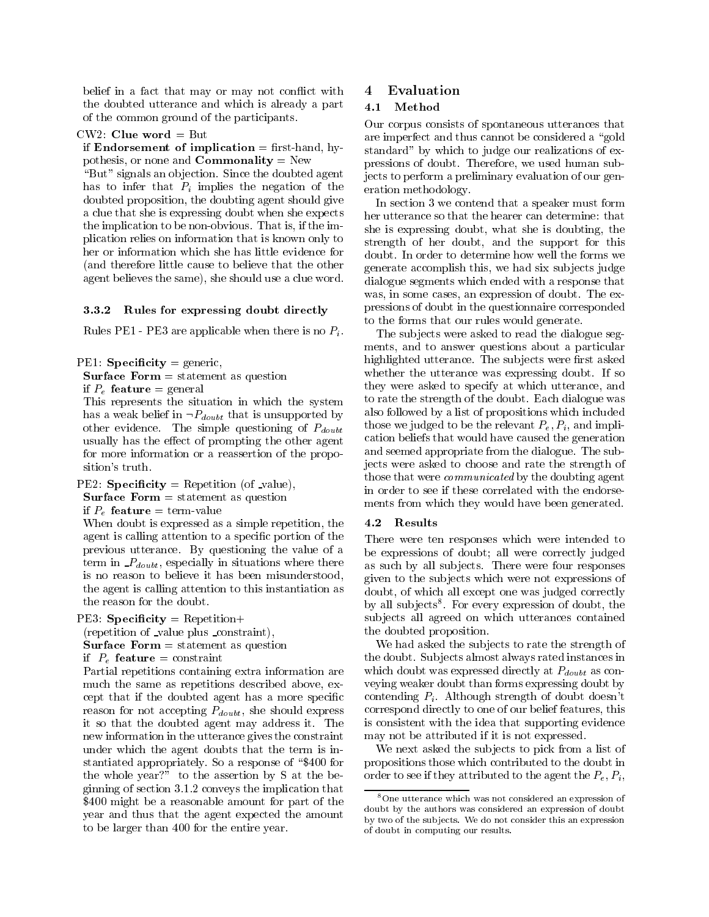belief in a fact that may or may not conflict with  $\sim$  4 the doubted utterance and which is already a part  $4.1$ of the common ground of the participants.

#### $CW2$ : Clue word = But

if Endorsement of implication  $=$  first-hand, hypothesis, or none and **Commonality** = New

" $\text{But" signals an objection. Since the doubled agent$ has to infer that  $P_i$  implies the negation of the doubted proposition, the doubting agent should give a clue that she is expressing doubt when she expects the implication to be non-obvious. That is, if the implication relies on information that is known only to her or information which she has little evidence for (and therefore little cause to believe that the other agent believes the same), she should use a clue word.

#### 3.3.2 Rules for expressing doubt directly

Rules PE1 - PE3 are applicable when there is no  $P_i$ .

PE1: Specificity = generic,

**Surface Form**  $=$  **statement as question** 

if  $P_e$  feature = general

This represents the situation in which the system has a weak belief in  $\neg P_{doubt}$  that is unsupported by other evidence. The simple questioning of  $P_{doubt}$ usually has the effect of prompting the other agent for more information or a reassertion of the proposition's truth.

# PE2: Specificity = Repetition (of \_value),

**Surface Form**  $=$  statement as question

if  $P_e$  feature = term-value

When doubt is expressed as a simple repetition, the agent is calling attention to a specic portion of the previous utterance. By questioning the value of a term in  $P_{double}$ , especially in situations where there is no reason to believe it has been misunderstood, the agent is calling attention to this instantiation as the reason for the doubt.

PE3: Specificity = Repetition+

(repetition of value plus constraint),

**Surface Form**  $=$  **statement as question** 

if  $P_e$  feature = constraint

Partial repetitions containing extra information are much the same as repetitions described above, except that if the doubted agent has a more specic reason for not accepting  $P_{doubt}$ , she should express it so that the doubted agent may address it. The new information in the utterance gives the constraint under which the agent doubts that the term is instantiated appropriately. So a response of "\$400 for the whole year?" to the assertion by  $S$  at the beginning of section 3.1.2 conveys the implication that \$400 might be a reasonable amount for part of the year and thus that the agent expected the amount to be larger than 400 for the entire year.

## **Evaluation**

Our corpus consists of spontaneous utterances that are imperfect and thus cannot be considered a "gold" standard" by which to judge our realizations of expressions of doubt. Therefore, we used human subjects to perform a preliminary evaluation of our generation methodology.

In section 3 we contend that a speaker must form her utterance so that the hearer can determine: that she is expressing doubt, what she is doubting, the strength of her doubt, and the support for this doubt. In order to determine how well the forms we generate accomplish this, we had six sub jects judge dialogue segments which ended with a response that was, in some cases, an expression of doubt. The expressions of doubt in the questionnaire corresponded to the forms that our rules would generate.

The subjects were asked to read the dialogue segments, and to answer questions about a particular highlighted utterance. The subjects were first asked whether the utterance was expressing doubt. If so they were asked to specify at which utterance, and to rate the strength of the doubt. Each dialogue was also followed by a list of propositions which included those we judged to be the relevant  $P_e, P_i$ , and implication beliefs that would have caused the generation and seemed appropriate from the dialogue. The subjects were asked to choose and rate the strength of those that were *communicated* by the doubting agent in order to see if these correlated with the endorsements from which they would have been generated.

#### 4.2 Results

There were ten responses which were intended to be expressions of doubt; all were correctly judged as such by all subjects. There were four responses given to the sub jects which were not expressions of doubt, of which all except one was judged correctly by all subjects. For every expression of doubt, the sub jects all agreed on which utterances contained the doubted proposition.

We had asked the subjects to rate the strength of the doubt. Sub jects almost always rated instances in which doubt was expressed directly at  $P_{double}$  as conveying weaker doubt than forms expressing doubt by contending  $P_i$ . Although strength of doubt doesn't correspond directly to one of our belief features, this is consistent with the idea that supporting evidence may not be attributed if it is not expressed.

We next asked the subjects to pick from a list of propositions those which contributed to the doubt in order to see if they attributed to the agent the  $P_e, P_i$ ,

<sup>8</sup>One utterance which was not considered an expression of doubt by the authors was considered an expression of doubt by two of the sub jects. We do not consider this an expression of doubt in computing our results.